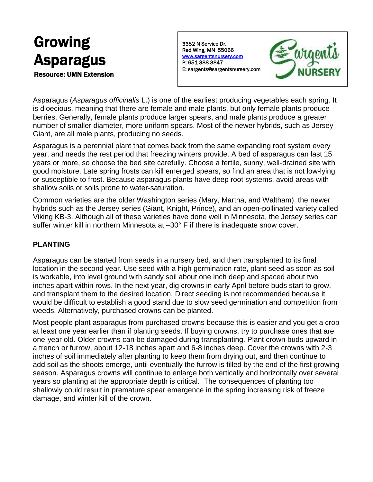# Growing Asparagus

Resource: UMN Extension

3352 N Service Dr. Red Wing, MN 55066 [www.sargentsnursery.com](http://www.sargentsnursery.com/)  P: 651-388-3847 E: sargents@sargentsnursery.com



Asparagus (*Asparagus officinalis* L.) is one of the earliest producing vegetables each spring. It is dioecious, meaning that there are female and male plants, but only female plants produce berries. Generally, female plants produce larger spears, and male plants produce a greater number of smaller diameter, more uniform spears. Most of the newer hybrids, such as Jersey Giant, are all male plants, producing no seeds.

Asparagus is a perennial plant that comes back from the same expanding root system every year, and needs the rest period that freezing winters provide. A bed of asparagus can last 15 years or more, so choose the bed site carefully. Choose a fertile, sunny, well-drained site with good moisture. Late spring frosts can kill emerged spears, so find an area that is not low-lying or susceptible to frost. Because asparagus plants have deep root systems, avoid areas with shallow soils or soils prone to water-saturation.

Common varieties are the older Washington series (Mary, Martha, and Waltham), the newer hybrids such as the Jersey series (Giant, Knight, Prince), and an open-pollinated variety called Viking KB-3. Although all of these varieties have done well in Minnesota, the Jersey series can suffer winter kill in northern Minnesota at –30° F if there is inadequate snow cover.

## **PLANTING**

Asparagus can be started from seeds in a nursery bed, and then transplanted to its final location in the second year. Use seed with a high germination rate, plant seed as soon as soil is workable, into level ground with sandy soil about one inch deep and spaced about two inches apart within rows. In the next year, dig crowns in early April before buds start to grow, and transplant them to the desired location. Direct seeding is not recommended because it would be difficult to establish a good stand due to slow seed germination and competition from weeds. Alternatively, purchased crowns can be planted.

Most people plant asparagus from purchased crowns because this is easier and you get a crop at least one year earlier than if planting seeds. If buying crowns, try to purchase ones that are one-year old. Older crowns can be damaged during transplanting. Plant crown buds upward in a trench or furrow, about 12-18 inches apart and 6-8 inches deep. Cover the crowns with 2-3 inches of soil immediately after planting to keep them from drying out, and then continue to add soil as the shoots emerge, until eventually the furrow is filled by the end of the first growing season. Asparagus crowns will continue to enlarge both vertically and horizontally over several years so planting at the appropriate depth is critical. The consequences of planting too shallowly could result in premature spear emergence in the spring increasing risk of freeze damage, and winter kill of the crown.